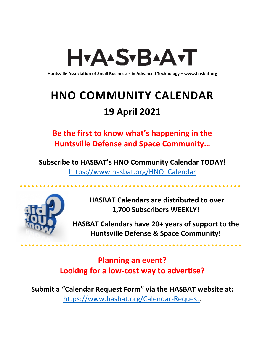# H<sub>Y</sub>AASTBAATT

**Huntsville Association of Small Businesses in Advanced Technology – [www.hasbat.org](http://www.hasbat.org/)**

# **HNO COMMUNITY CALENDAR**

### **19 April 2021**

**Be the first to know what's happening in the Huntsville Defense and Space Community…** 

**Subscribe to HASBAT's HNO Community Calendar TODAY!**  [https://www.hasbat.org/HNO\\_Calendar](https://www.hasbat.org/HNO_Calendar)



**HASBAT Calendars are distributed to over 1,700 Subscribers WEEKLY!**

**HASBAT Calendars have 20+ years of support to the Huntsville Defense & Space Community!** 

**Planning an event? Looking for a low-cost way to advertise?**

**Submit a "Calendar Request Form" via the HASBAT website at:**  [https://www.hasbat.org/Calendar-Request.](https://www.hasbat.org/Calendar-Request)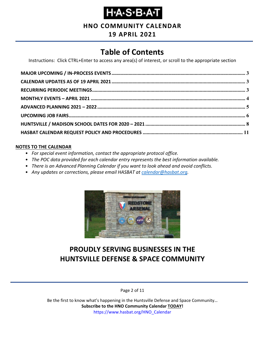

**HNO COMMUNITY CALENDAR**

### **19 APRIL 2021**

### **Table of Contents**

Instructions: Click CTRL+Enter to access any area(s) of interest, or scroll to the appropriate section

#### **NOTES TO THE CALENDAR**

- *For special event information, contact the appropriate protocol office.*
- *The POC data provided for each calendar entry represents the best information available.*
- *There is an Advanced Planning Calendar if you want to look ahead and avoid conflicts.*
- *Any updates or corrections, please email HASBAT at [calendar@hasbat.org.](mailto:calendar@hasbat.org)*



### **PROUDLY SERVING BUSINESSES IN THE HUNTSVILLE DEFENSE & SPACE COMMUNITY**

Page 2 of 11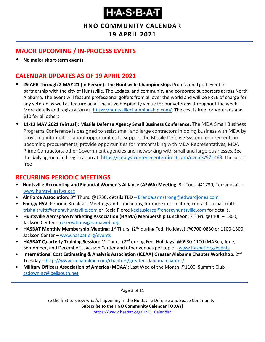**HNO COMMUNITY CALENDAR**

**19 APRIL 2021**

### <span id="page-2-0"></span>**MAJOR UPCOMING / IN-PROCESS EVENTS**

• **No major short-term events**

### <span id="page-2-1"></span>**CALENDAR UPDATES AS OF 19 APRIL 2021**

- **29 APR Through 2 MAY 21 (In Person): The Huntsville Championship.** Professional golf event in partnership with the city of Huntsville, The Ledges, and community and corporate supporters across North Alabama. The event will feature professional golfers from all over the world and will be FREE of charge for any veteran as well as feature an all-inclusive hospitality venue for our veterans throughout the week**.** More details and registration at: [https://huntsvillechampionship.com/.](https://huntsvillechampionship.com/) The cost is free for Veterans and \$10 for all others
- **11-13 MAY 2021 (Virtual): Missile Defense Agency Small Business Conference.** The MDA Small Business Programs Conference is designed to assist small and large contractors in doing business with MDA by providing information about opportunities to support the Missile Defense System requirements in upcoming procurements; provide opportunities for matchmaking with MDA Representatives, MDA Prime Contractors, other Government agencies and networking with small and large businesses. See the daily agenda and registration at: <https://catalystcenter.ecenterdirect.com/events/971468>. The cost is free

### <span id="page-2-2"></span>**RECURRING PERIODIC MEETINGS**

- Huntsville Accounting and Financial Women's Alliance (AFWA) Meeting: 3<sup>rd</sup> Tues. @1730, Terranova's [www.huntsvilleafwa.org](http://www.huntsvilleafwa.org/)
- **Air Force Association**: 3rd Thurs. @1730, details TBD [Brenda.armstrong@edwardjones.com](mailto:Brenda.armstrong@edwardjones.com)
- **Energy HSV**: Periodic Breakfast Meetings and Luncheons, for more information, contact Trisha Truitt [trisha.truitt@energyhuntsville.com](mailto:trisha.truitt@energyhuntsville.com) or Kecia Pierce [kecia.pierce@energyhuntsville.com](mailto:kecia.pierce@energyhuntsville.com) for details.
- **Huntsville Aerospace Marketing Association (HAMA) Membership Luncheon**: 2nd Fri. @1100 1300, Jackson Center – [reservations@hamaweb.org](mailto:reservations@hamaweb.org)
- **HASBAT Monthly Membership Meeting**: 1<sup>st</sup> Thurs. (2<sup>nd</sup> during Fed. Holidays) @0700-0830 or 1100-1300, Jackson Center – [www.hasbat.org/events](http://www.hasbat.org/events)
- **HASBAT Quarterly Training Session**: 1st Thurs. (2nd during Fed. Holidays) @0930-1100 (MARch, June, September, and December), Jackson Center and other venues per topic – [www.hasbat.org/events](http://www.hasbat.org/events)
- **International Cost Estimating & Analysis Association (ICEAA) Greater Alabama Chapter Workshop**: 2nd Tuesday – <http://www.iceaaonline.com/chapters/greater-alabama-chapter/>
- **Military Officers Association of America (MOAA)**: Last Wed of the Month @1100, Summit Club [csdowning@bellsouth.net](mailto:csdowning@bellsouth.net)

Page 3 of 11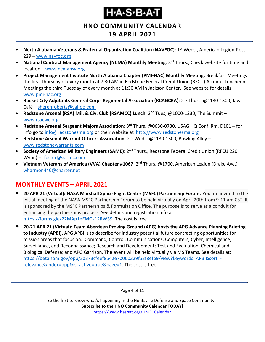**HNO COMMUNITY CALENDAR**

### **19 APRIL 2021**

- **North Alabama Veterans & Fraternal Organization Coalition (NAVFOC): 1<sup>st</sup> Weds., American Legion-Post** 229 – [www.navfoc.org](http://www.navfoc.org/)
- **National Contract Management Agency (NCMA) Monthly Meeting**: 3rd Thurs., Check website for time and location – [www.ncmahsv.org](http://www.ncmahsv.org/)
- **Project Management Institute North Alabama Chapter (PMI-NAC) Monthly Meeting:** Breakfast Meetings the first Thursday of every month at 7:30 AM in Redstone Federal Credit Union (RFCU) Atrium. Luncheon Meetings the third Tuesday of every month at 11:30 AM in Jackson Center. See website for details: [www.pmi-nac.org](http://www.pmi-nac.org/)
- **Rocket City Adjutants General Corps Regimental Association (RCAGCRA)**: 2nd Thurs. @1130-1300, Java Café – [sherenroberts@yahoo.com](mailto:sherenroberts@yahoo.com)
- **Redstone Arsenal (RSA) Mil. & Civ. Club (RSAMCC) Lunch**: 2nd Tues, @1000-1230, The Summit [www.rsacwc.org](http://www.rsacwc.org/)
- **Redstone Arsenal Sergeant Majors Association**: 3rd Thurs. @0630-0730, USAG HQ Conf. Rm. D101 for info go to [info@redstonesma.org](mailto:info@redstonesma.org) or their website at [http://www.redstonesma.org](http://www.redstonesma.org/)
- **Redstone Arsenal Warrant Officers Association**: 2nd Weds. @1130-1300, Bowling Alley [www.redstonewarrants.com](http://www.redstonewarrants.com/)
- **Society of American Military Engineers (SAME)**: 2nd Thurs., Redstone Federal Credit Union (RFCU 220 Wynn) – [tfoster@ssr-inc.com](mailto:tfoster@ssr-inc.com)
- **Vietnam Veterans of America (VVA) Chapter #1067**: 2nd Thurs. @1700, American Legion (Drake Ave.) [wharmon446@charter.net](mailto:wharmon446@charter.net)

### <span id="page-3-0"></span>**MONTHLY EVENTS – APRIL 2021**

- **20 APR 21 (Virtual): NASA Marshall Space Flight Center (MSFC) Partnership Forum.** You are invited to the initial meeting of the NASA MSFC Partnership Forum to be held virtually on April 20th from 9-11 am CST. It is sponsored by the MSFC Partnerships & Formulation Office. The purpose is to serve as a conduit for enhancing the partnerships process. See details and registration info at: [https://forms.gle/22MAp1eEMGz12RW39.](https://forms.gle/22MAp1eEMGz12RW39) The cost is free
- **20-21 APR 21 (Virtual): Team Aberdeen Proving Ground (APG) hosts the APG Advance Planning Briefing to Industry (APBI).** APG APBI is to describe for industry potential future contracting opportunities for mission areas that focus on: Command, Control, Communications, Computers, Cyber, Intelligence, Surveillance, and Reconnaissance; Research and Development; Test and Evaluation; Chemical and Biological Defense; and APG Garrison. The event will be held virtually via MS Teams. See details at: [https://beta.sam.gov/opp/3a373cfeef8542e7b060329f53f8efb9/view?keywords=APBI&sort=](https://beta.sam.gov/opp/3a373cfeef8542e7b060329f53f8efb9/view?keywords=APBI&sort=-relevance&index=opp&is_active=true&page=1) [relevance&index=opp&is\\_active=true&page=1.](https://beta.sam.gov/opp/3a373cfeef8542e7b060329f53f8efb9/view?keywords=APBI&sort=-relevance&index=opp&is_active=true&page=1) The cost is free

Page 4 of 11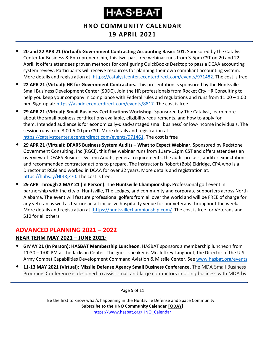**HNO COMMUNITY CALENDAR**

### **19 APRIL 2021**

- **20 and 22 APR 21 (Virtual): Government Contracting Accounting Basics 101.** Sponsored by the Catalyst Center for Business & Entrepreneurship, this two-part free webinar runs from 3-5pm CST on 20 and 22 April. It offers attendees proven methods for configuring QuickBooks Desktop to pass a DCAA accounting system review. Participants will receive resources for planning their own compliant accounting system. More details and registration at: [https://catalystcenter.ecenterdirect.com/events/971482.](https://catalystcenter.ecenterdirect.com/events/971482) The cost is free.
- **22 APR 21 (Virtual): HR for Government Contractors.** This presentation is sponsored by the Huntsville Small Business Development Center (SBDC). Join the HR professionals from Rocket City HR Consulting to help you keep your company in compliance with Federal rules and regulations and runs from 11:00 – 1:00 pm. Sign-up at: [https://asbdc.ecenterdirect.com/events/8817.](https://asbdc.ecenterdirect.com/events/8817) The cost is free
- **29 APR 21 (Virtual): Small Business Certifications Workshop.** Sponsored by The Catalyst, learn more about the small business certifications available, eligibility requirements, and how to apply for them. Intended audience is for economically-disadvantaged small business' or low-income individuals. The session runs from 3:00-5:00 pm CST. More details and registration at: [https://catalystcenter.ecenterdirect.com/events/971461.](https://catalystcenter.ecenterdirect.com/events/971461) The cost is free
- **29 APR 21 (Virtual): DFARS Business System Audits – What to Expect Webinar.** Sponsored by Redstone Government Consulting, Inc (RGCI), this free webinar runs from 11am-12pm CST and offers attendees an overview of DFARS Business System Audits, general requirements, the audit process, auditor expectations, and recommended contractor actions to prepare. The instructor is Robert (Bob) Eldridge, CPA who is a Director at RCGI and worked in DCAA for over 32 years. More details and registration at: [https://hubs.ly/H0JRjZ70.](https://hubs.ly/H0JRjZ70) The cost is free.
- **29 APR Through 2 MAY 21 (In Person): The Huntsville Championship.** Professional golf event in partnership with the city of Huntsville, The Ledges, and community and corporate supporters across North Alabama. The event will feature professional golfers from all over the world and will be FREE of charge for any veteran as well as feature an all-inclusive hospitality venue for our veterans throughout the week**.** More details and registration at: [https://huntsvillechampionship.com/.](https://huntsvillechampionship.com/) The cost is free for Veterans and \$10 for all others.

### <span id="page-4-0"></span>**ADVANCED PLANNING 2021 – 2022**

#### **NEAR TERM MAY 2021 – JUNE 2021:**

- **6 MAY 21 (In Person): HASBAT Membership Luncheon**. HASBAT sponsors a membership luncheon from 11:30 – 1:00 PM at the Jackson Center. The guest speaker is Mr. Jeffrey Langhout, the Director of the U.S. Army Combat Capabilities Development Command Aviation & Missile Center. See [www.hasbat.org/events](http://www.hasbat.org/events)
- **11-13 MAY 2021 (Virtual): Missile Defense Agency Small Business Conference.** The MDA Small Business Programs Conference is designed to assist small and large contractors in doing business with MDA by

Page 5 of 11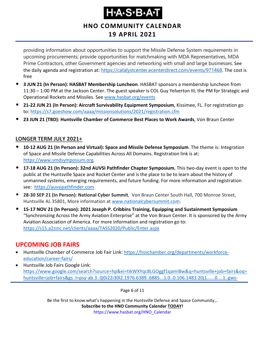### **HNO COMMUNITY CALENDAR 19 APRIL 2021**

providing information about opportunities to support the Missile Defense System requirements in upcoming procurements; provide opportunities for matchmaking with MDA Representatives, MDA Prime Contractors, other Government agencies and networking with small and large businesses. See the daily agenda and registration at: <https://catalystcenter.ecenterdirect.com/events/971468>. The cost is free

- **3 JUN 21 (In Person): HASBAT Membership Luncheon**. HASBAT sponsors a membership luncheon from 11:30 – 1:00 PM at the Jackson Center. The guest speaker is COL Guy Yelverton III, the PM for Strategic and Operational Rockets and Missiles. See [www.hasbat.org/events](http://www.hasbat.org/events)
- **21-22 JUN 21 (In Person): Aircraft Survivability Equipment Symposium**, Kissimee, FL. For registration go to:<https://s7.goeshow.com/aaaa/missionsolutions/2021/registration.cfm>
- **23 JUN 21 (TBD): Huntsville Chamber of Commerce Best Places to Work Awards**, Von Braun Center

#### **LONGER TERM JULY 2021+**

- **10-12 AUG 21 (In Person and Virtual): Space and Missile Defense Symposium**. The theme is: Integration of Space and Missile Defense Capabilities Across All Domains. Registration link is at: [https://www.smdsymposium.org.](https://www.smdsymposium.org/)
- **17-18 AUG 21 (In Person): 32nd AUVSI Pathfinder Chapter Symposium.** This two-day event is open to the public at the Huntsville Space and Rocket Center and is the place to be to learn about the history of unmanned systems, emerging requirements, and future funding. For more information and registration see: [https://auvsipathfinder.com](https://auvsipathfinder.com/)
- **28-30 SEP 21 (In Person): National Cyber Summit**, Von Braun Center South Hall, 700 Monroe Street, Huntsville AL 35801, More information at [www.nationalcybersummit.com.](http://www.nationalcybersummit.com/)
- **15-17 NOV 21 (In Person): 2021 Joseph P. Cribbins Training, Equipping and Sustainment Symposium** "Synchronizing Across the Army Aviation Enterprise" at the Von Braun Center. It is sponsored by the Army Aviation Association of America. For more information and registration go to: <https://s15.a2zinc.net/clients/aaaa/TASS2020/Public/Enter.aspx>

### <span id="page-5-0"></span>**UPCOMING JOB FAIRS**

- Huntsville Chamber of Commerce Job Fair Link: [https://hsvchamber.org/departments/workforce](https://hsvchamber.org/departments/workforce-education/career-fairs/)[education/career-fairs/](https://hsvchamber.org/departments/workforce-education/career-fairs/)
- Huntsville Job Fairs Google Link: [https://www.google.com/search?source=hp&ei=tIkWXYqcBLGOggf1qamIBw&q=huntsville+job+fairs&oq=](https://www.google.com/search?source=hp&ei=tIkWXYqcBLGOggf1qamIBw&q=huntsville+job+fairs&oq=huntsville+job+fairs&gs_l=psy-ab.3..0j0i22i30l2.1976.6389..6885...1.0..0.106.1483.20j1......0....1..gws-wiz.....8..35i39j0i131j0i20i263.QNPeuRdHMI0&ibp=htl;jobs&sa=X&ved=2ahUKEwjd5q25ko3jAhXmUt8KHWsmB5MQiYsCKAF6BAgFEBA#fpstate=tldetail&htidocid=pbp-9beJRfv9iMRDAAAAAA%3D%3D&htivrt=jobs) [huntsville+job+fairs&gs\\_l=psy-ab.3..0j0i22i30l2.1976.6389..6885...1.0..0.106.1483.20j1......0....1..gws-](https://www.google.com/search?source=hp&ei=tIkWXYqcBLGOggf1qamIBw&q=huntsville+job+fairs&oq=huntsville+job+fairs&gs_l=psy-ab.3..0j0i22i30l2.1976.6389..6885...1.0..0.106.1483.20j1......0....1..gws-wiz.....8..35i39j0i131j0i20i263.QNPeuRdHMI0&ibp=htl;jobs&sa=X&ved=2ahUKEwjd5q25ko3jAhXmUt8KHWsmB5MQiYsCKAF6BAgFEBA#fpstate=tldetail&htidocid=pbp-9beJRfv9iMRDAAAAAA%3D%3D&htivrt=jobs)

Page 6 of 11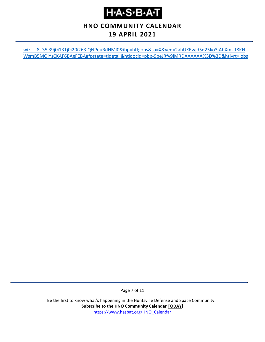### **HNO COMMUNITY CALENDAR**

### **19 APRIL 2021**

[wiz.....8..35i39j0i131j0i20i263.QNPeuRdHMI0&ibp=htl;jobs&sa=X&ved=2ahUKEwjd5q25ko3jAhXmUt8KH](https://www.google.com/search?source=hp&ei=tIkWXYqcBLGOggf1qamIBw&q=huntsville+job+fairs&oq=huntsville+job+fairs&gs_l=psy-ab.3..0j0i22i30l2.1976.6389..6885...1.0..0.106.1483.20j1......0....1..gws-wiz.....8..35i39j0i131j0i20i263.QNPeuRdHMI0&ibp=htl;jobs&sa=X&ved=2ahUKEwjd5q25ko3jAhXmUt8KHWsmB5MQiYsCKAF6BAgFEBA#fpstate=tldetail&htidocid=pbp-9beJRfv9iMRDAAAAAA%3D%3D&htivrt=jobs) [WsmB5MQiYsCKAF6BAgFEBA#fpstate=tldetail&htidocid=pbp-9beJRfv9iMRDAAAAAA%3D%3D&htivrt=jobs](https://www.google.com/search?source=hp&ei=tIkWXYqcBLGOggf1qamIBw&q=huntsville+job+fairs&oq=huntsville+job+fairs&gs_l=psy-ab.3..0j0i22i30l2.1976.6389..6885...1.0..0.106.1483.20j1......0....1..gws-wiz.....8..35i39j0i131j0i20i263.QNPeuRdHMI0&ibp=htl;jobs&sa=X&ved=2ahUKEwjd5q25ko3jAhXmUt8KHWsmB5MQiYsCKAF6BAgFEBA#fpstate=tldetail&htidocid=pbp-9beJRfv9iMRDAAAAAA%3D%3D&htivrt=jobs)

Page 7 of 11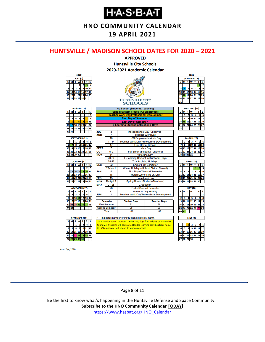**HNO COMMUNITY CALENDAR**

**19 APRIL 2021**

#### <span id="page-7-0"></span>**HUNTSVILLE / MADISON SCHOOL DATES FOR 2020 – 2021**



As of 6/4/2020

#### Page 8 of 11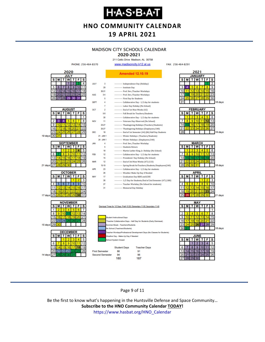**HNO COMMUNITY CALENDAR**

#### **19 APRIL 2021**

### **MADISON CITY SCHOOLS CALENDAR**

2020-2021 211 Celtic Drive Madison, AL 35758

FAX: 256-464-8291



Page 9 of 11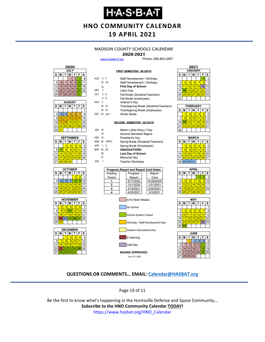### ҤѦӠѵЪѦ

**HNO COMMUNITY CALENDAR**

### **19 APRIL 2021**

#### **MADISON COUNTY SCHOOLS CALENDAR**

#### 2020-2021

**FIRST SEMESTER - 88 DAYS** 

www.mcssk12.org

Phone: 256-852-2557

| 2020             |    |    |                |    |    |    |  |
|------------------|----|----|----------------|----|----|----|--|
| <b>JULY</b>      |    |    |                |    |    |    |  |
| S<br>s<br>F<br>М |    |    |                |    |    |    |  |
|                  |    |    |                | 2  |    |    |  |
| 5                | 6  |    | 8              | ٥  |    |    |  |
| 12               | 13 |    | 15             | 16 |    | 18 |  |
| 19               | 20 | 21 | 22 23          |    | 24 | 25 |  |
|                  |    |    | 26 27 28 29 30 |    | 31 |    |  |

| <b>AUGUST</b> |    |    |                   |    |    |    |  |
|---------------|----|----|-------------------|----|----|----|--|
| s             | М  | T. | W                 |    | F  | S  |  |
|               |    |    |                   |    |    |    |  |
| 2             | 3  | 4  | 5                 | 6  |    | 8  |  |
| 9             | 10 | 11 | $12 \overline{ }$ | 13 | Δ  | 15 |  |
| 16            | 17 | 18 | 19 20             |    | 21 | 22 |  |
| 23            | 24 |    | 25 26 27          |    | 28 | 29 |  |
| 30            | 31 |    |                   |    |    |    |  |

| <b>SEPTEMBER</b> |    |                  |          |  |    |    |  |  |  |
|------------------|----|------------------|----------|--|----|----|--|--|--|
| s                | М  | W<br>F<br>S<br>т |          |  |    |    |  |  |  |
|                  |    |                  | 2        |  |    |    |  |  |  |
| 6                |    | 8                | ٥        |  |    | 12 |  |  |  |
| 13               |    | 15 <sup>1</sup>  | 16       |  | 18 | g  |  |  |  |
| 20               | 21 |                  | 22 23 24 |  | 25 | 26 |  |  |  |
| 27               | 28 | 29 <sub>1</sub>  | 30       |  |    |    |  |  |  |







| AUG 5-7       |                |                | Staff Development / Workday                  |            |  |  |  |  |  |
|---------------|----------------|----------------|----------------------------------------------|------------|--|--|--|--|--|
|               |                | $10 - 18$      | Staff Development / Workday                  |            |  |  |  |  |  |
|               | 19             |                | <b>First Day of School</b>                   |            |  |  |  |  |  |
| <b>SEP</b>    | $\overline{7}$ |                | <b>Labor Day</b>                             |            |  |  |  |  |  |
| OCT 5-9       |                |                | Fall Break (Students/Teachers)               |            |  |  |  |  |  |
|               |                | $8 - 9$        | Fall Break (employees)                       |            |  |  |  |  |  |
| <b>NOV 11</b> |                |                | Veteran's Day                                |            |  |  |  |  |  |
|               |                | $24 - 27$      | Thanksgiving Break (Students/Teachers)       |            |  |  |  |  |  |
|               |                | $25 - 27$      | Thanksgiving Break (employees)               |            |  |  |  |  |  |
|               |                | DEC 22 -Jan 1  | <b>Winter Break</b>                          |            |  |  |  |  |  |
|               |                |                |                                              |            |  |  |  |  |  |
|               |                |                | <b>SECOND SEMESTER - 88 DAYS</b>             |            |  |  |  |  |  |
| JAN           | 18             |                | Martin Luther King Jr Day                    |            |  |  |  |  |  |
|               | 19             |                | <b>Second Semester Begins</b>                |            |  |  |  |  |  |
| <b>FEB</b> 15 |                |                | <b>President's Day</b>                       |            |  |  |  |  |  |
|               |                | MAR 29 - APR 2 | Spring Break (Students/Teachers)             |            |  |  |  |  |  |
| APR 1-2       |                |                | Spring Break (Employees)                     |            |  |  |  |  |  |
| MAY 25 -26    |                |                | <b>GRADUATIONS</b>                           |            |  |  |  |  |  |
|               | 28             |                | <b>Last Day of School</b>                    |            |  |  |  |  |  |
|               | 31             |                | <b>Memorial Day</b>                          |            |  |  |  |  |  |
| JUN           | -1             |                | <b>Teacher Workdays</b>                      |            |  |  |  |  |  |
|               |                |                |                                              |            |  |  |  |  |  |
|               |                |                | <b>Progress Report and Report Card Dates</b> |            |  |  |  |  |  |
|               |                | Grading        | Progress                                     | Report     |  |  |  |  |  |
|               |                | Period         | Report                                       | Card       |  |  |  |  |  |
|               |                | 1              | 9/17/2020                                    | 10/29/2020 |  |  |  |  |  |
|               |                | 2              | 12/1/2020                                    | 1/21/2021  |  |  |  |  |  |
|               |                | 3              | 2/18/2021                                    | 3/25/2021  |  |  |  |  |  |
|               |                | 4              | 4/29/2021                                    | 6/3/2021   |  |  |  |  |  |
|               |                |                | 4/10 Work Weeks                              |            |  |  |  |  |  |
|               |                |                | .                                            |            |  |  |  |  |  |

| No School                       |
|---------------------------------|
| School System Closed            |
| Workday / Staff Development Day |
| Student Instructional Day       |
| E-learning                      |

Half Day **BOARD APPROVED** June 25, 2020

|                       | 2021 |    |                 |    |    |  |  |  |  |  |
|-----------------------|------|----|-----------------|----|----|--|--|--|--|--|
| <b>JANUARY</b>        |      |    |                 |    |    |  |  |  |  |  |
| S<br>S<br>W<br>F<br>M |      |    |                 |    |    |  |  |  |  |  |
|                       |      |    |                 |    | 2  |  |  |  |  |  |
|                       | 5    | 6  |                 | 8  | 9  |  |  |  |  |  |
|                       | 12   | 13 | 14              | 15 | 16 |  |  |  |  |  |
|                       | 19   | 20 | $\overline{21}$ | 22 | 23 |  |  |  |  |  |
| 25                    | 26   | 27 | 28              | 29 | 30 |  |  |  |  |  |
|                       |      |    |                 |    |    |  |  |  |  |  |
|                       |      |    |                 |    |    |  |  |  |  |  |

| <b>FEBRUARY</b> |   |    |                 |    |    |    |  |  |  |
|-----------------|---|----|-----------------|----|----|----|--|--|--|
| s               | M |    | <b>TWT</b>      |    | F  | s  |  |  |  |
|                 |   |    | 3               |    |    | ĥ  |  |  |  |
|                 | R | 9) | 10              |    | 12 | 13 |  |  |  |
|                 |   | 16 | 17 <sup>1</sup> | 18 | 19 | 20 |  |  |  |
|                 |   |    | 23 24 25 26 27  |    |    |    |  |  |  |
|                 |   |    |                 |    |    |    |  |  |  |

| <b>MARCH</b> |                 |    |    |    |    |    |  |  |  |
|--------------|-----------------|----|----|----|----|----|--|--|--|
| s            | M               | т  | W  | т  | F  | S  |  |  |  |
|              |                 | 2  |    |    |    | 6  |  |  |  |
|              | 8               | 9  | 10 |    | 12 |    |  |  |  |
| 14           | 15              | 16 | 17 | 18 | 19 | 20 |  |  |  |
| 21           | 22 <sub>1</sub> | 23 | 24 | 25 | 26 | 27 |  |  |  |
|              | 28 29 30 31     |    |    |    |    |    |  |  |  |
|              |                 |    |    |    |    |    |  |  |  |

| APRIL |                 |           |             |    |    |    |  |  |  |
|-------|-----------------|-----------|-------------|----|----|----|--|--|--|
| s     | М               |           | W           |    | F  | s  |  |  |  |
|       |                 |           |             |    |    | 3  |  |  |  |
| 4     | 5               | 6         |             | 8  | 9  | 10 |  |  |  |
| 11    | 12 <sup>1</sup> | 13        | 14          | 15 | 16 | 17 |  |  |  |
| 18    |                 |           | 19 20 21 22 |    | 23 | 24 |  |  |  |
| 25    | 26              | <b>27</b> | 28          | 29 | 30 |    |  |  |  |
|       |                 |           |             |    |    |    |  |  |  |





#### **QUESTIONS OR COMMENTS… EMAIL: [Calendar@HASBAT.org](mailto:calendar@hasbat.org)**

Page 10 of 11